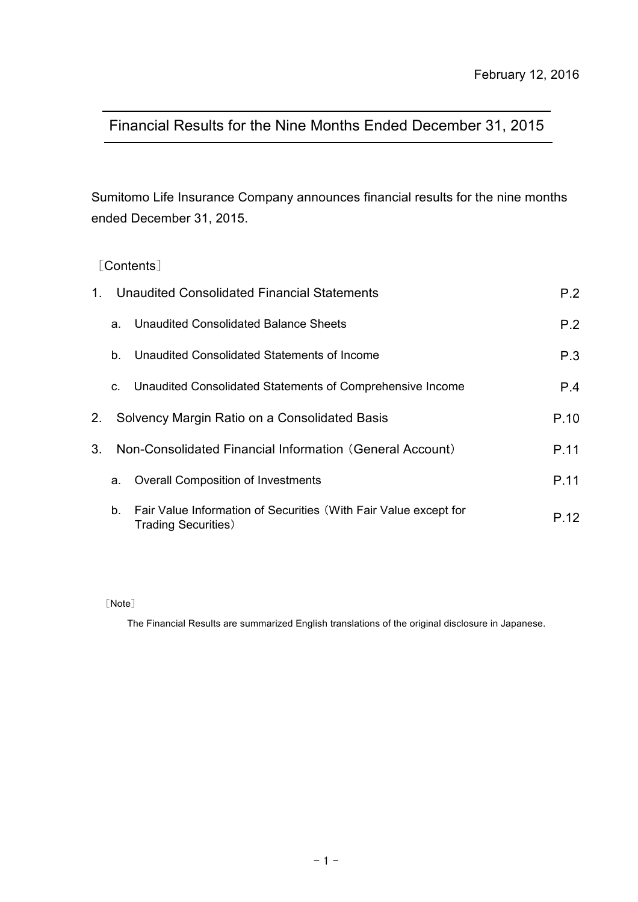# Financial Results for the Nine Months Ended December 31, 2015

Sumitomo Life Insurance Company announces financial results for the nine months ended December 31, 2015.

### [Contents]

| $1_{-}$        | Unaudited Consolidated Financial Statements | P.2                                                                                             |      |
|----------------|---------------------------------------------|-------------------------------------------------------------------------------------------------|------|
|                | a.                                          | Unaudited Consolidated Balance Sheets                                                           | P.2  |
|                | b.                                          | Unaudited Consolidated Statements of Income                                                     | P.3  |
|                | C.                                          | Unaudited Consolidated Statements of Comprehensive Income                                       | P.4  |
| 2.             |                                             | Solvency Margin Ratio on a Consolidated Basis                                                   | P.10 |
| 3 <sub>1</sub> |                                             | Non-Consolidated Financial Information (General Account)                                        | P.11 |
|                | a.                                          | <b>Overall Composition of Investments</b>                                                       | P.11 |
|                | b.                                          | Fair Value Information of Securities (With Fair Value except for<br><b>Trading Securities</b> ) | P.12 |

[Note]

The Financial Results are summarized English translations of the original disclosure in Japanese.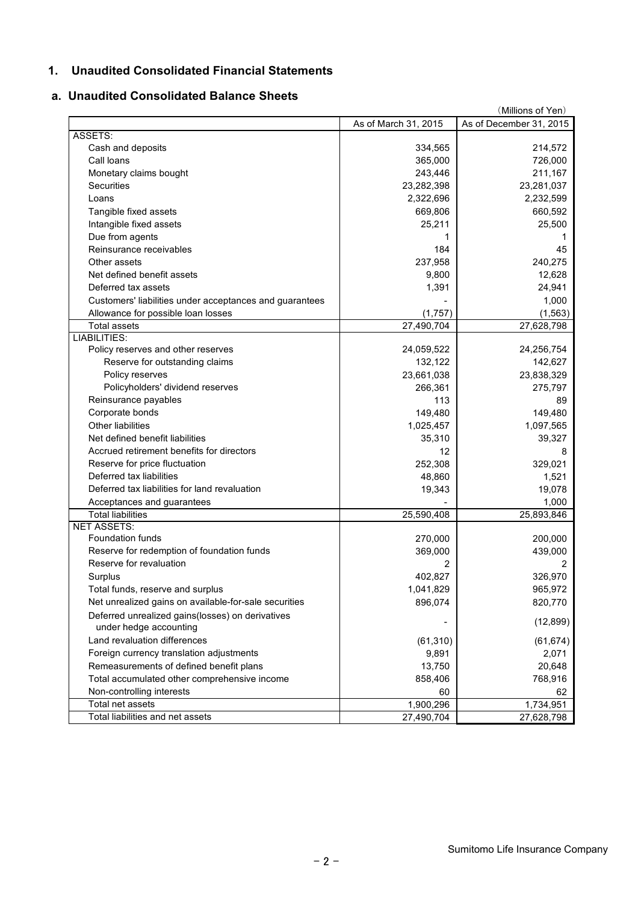### **1. Unaudited Consolidated Financial Statements**

### **a. Unaudited Consolidated Balance Sheets**

| As of March 31, 2015<br>As of December 31, 2015<br>ASSETS:<br>Cash and deposits<br>334,565<br>214,572<br>Call loans<br>365,000<br>726,000<br>Monetary claims bought<br>243,446<br>211,167<br>Securities<br>23,282,398<br>23,281,037<br>2,322,696<br>2,232,599<br>Loans<br>Tangible fixed assets<br>669,806<br>660,592<br>Intangible fixed assets<br>25,211<br>25,500<br>Due from agents<br>1<br>1<br>184<br>Reinsurance receivables<br>45<br>240,275<br>Other assets<br>237,958<br>Net defined benefit assets<br>9,800<br>12,628<br>24,941<br>Deferred tax assets<br>1,391<br>1,000<br>Customers' liabilities under acceptances and guarantees<br>Allowance for possible loan losses<br>(1,757)<br>(1, 563)<br><b>Total assets</b><br>27,490,704<br>27,628,798<br><b>LIABILITIES:</b><br>Policy reserves and other reserves<br>24,059,522<br>24,256,754<br>Reserve for outstanding claims<br>132,122<br>142,627<br>Policy reserves<br>23,661,038<br>23,838,329<br>Policyholders' dividend reserves<br>266,361<br>275,797<br>Reinsurance payables<br>113<br>89<br>Corporate bonds<br>149,480<br>149,480<br>Other liabilities<br>1,097,565<br>1,025,457<br>Net defined benefit liabilities<br>35,310<br>39,327<br>Accrued retirement benefits for directors<br>12<br>8<br>Reserve for price fluctuation<br>329,021<br>252,308<br>Deferred tax liabilities<br>1,521<br>48,860<br>Deferred tax liabilities for land revaluation<br>19,078<br>19,343<br>Acceptances and guarantees<br>1,000<br><b>Total liabilities</b><br>25,590,408<br>25,893,846<br><b>NET ASSETS:</b><br><b>Foundation funds</b><br>270,000<br>200,000<br>Reserve for redemption of foundation funds<br>369,000<br>439,000<br>Reserve for revaluation<br>2<br>Surplus<br>402,827<br>326,970<br>Total funds, reserve and surplus<br>1,041,829<br>965,972<br>Net unrealized gains on available-for-sale securities<br>896,074<br>820,770<br>Deferred unrealized gains(losses) on derivatives<br>(12, 899)<br>under hedge accounting<br>Land revaluation differences<br>(61, 310)<br>(61, 674)<br>Foreign currency translation adjustments<br>2,071<br>9,891<br>Remeasurements of defined benefit plans<br>20,648<br>13,750<br>Total accumulated other comprehensive income<br>858,406<br>768,916<br>Non-controlling interests<br>60<br>62<br>1,900,296<br>1,734,951<br>Total net assets<br>Total liabilities and net assets<br>27,490,704<br>27,628,798 |  | (Millions of Yen) |
|----------------------------------------------------------------------------------------------------------------------------------------------------------------------------------------------------------------------------------------------------------------------------------------------------------------------------------------------------------------------------------------------------------------------------------------------------------------------------------------------------------------------------------------------------------------------------------------------------------------------------------------------------------------------------------------------------------------------------------------------------------------------------------------------------------------------------------------------------------------------------------------------------------------------------------------------------------------------------------------------------------------------------------------------------------------------------------------------------------------------------------------------------------------------------------------------------------------------------------------------------------------------------------------------------------------------------------------------------------------------------------------------------------------------------------------------------------------------------------------------------------------------------------------------------------------------------------------------------------------------------------------------------------------------------------------------------------------------------------------------------------------------------------------------------------------------------------------------------------------------------------------------------------------------------------------------------------------------------------------------------------------------------------------------------------------------------------------------------------------------------------------------------------------------------------------------------------------------------------------------------------------------------------------------------------------------------------------------------------------------------------------------------------------------|--|-------------------|
|                                                                                                                                                                                                                                                                                                                                                                                                                                                                                                                                                                                                                                                                                                                                                                                                                                                                                                                                                                                                                                                                                                                                                                                                                                                                                                                                                                                                                                                                                                                                                                                                                                                                                                                                                                                                                                                                                                                                                                                                                                                                                                                                                                                                                                                                                                                                                                                                                      |  |                   |
|                                                                                                                                                                                                                                                                                                                                                                                                                                                                                                                                                                                                                                                                                                                                                                                                                                                                                                                                                                                                                                                                                                                                                                                                                                                                                                                                                                                                                                                                                                                                                                                                                                                                                                                                                                                                                                                                                                                                                                                                                                                                                                                                                                                                                                                                                                                                                                                                                      |  |                   |
|                                                                                                                                                                                                                                                                                                                                                                                                                                                                                                                                                                                                                                                                                                                                                                                                                                                                                                                                                                                                                                                                                                                                                                                                                                                                                                                                                                                                                                                                                                                                                                                                                                                                                                                                                                                                                                                                                                                                                                                                                                                                                                                                                                                                                                                                                                                                                                                                                      |  |                   |
|                                                                                                                                                                                                                                                                                                                                                                                                                                                                                                                                                                                                                                                                                                                                                                                                                                                                                                                                                                                                                                                                                                                                                                                                                                                                                                                                                                                                                                                                                                                                                                                                                                                                                                                                                                                                                                                                                                                                                                                                                                                                                                                                                                                                                                                                                                                                                                                                                      |  |                   |
|                                                                                                                                                                                                                                                                                                                                                                                                                                                                                                                                                                                                                                                                                                                                                                                                                                                                                                                                                                                                                                                                                                                                                                                                                                                                                                                                                                                                                                                                                                                                                                                                                                                                                                                                                                                                                                                                                                                                                                                                                                                                                                                                                                                                                                                                                                                                                                                                                      |  |                   |
|                                                                                                                                                                                                                                                                                                                                                                                                                                                                                                                                                                                                                                                                                                                                                                                                                                                                                                                                                                                                                                                                                                                                                                                                                                                                                                                                                                                                                                                                                                                                                                                                                                                                                                                                                                                                                                                                                                                                                                                                                                                                                                                                                                                                                                                                                                                                                                                                                      |  |                   |
|                                                                                                                                                                                                                                                                                                                                                                                                                                                                                                                                                                                                                                                                                                                                                                                                                                                                                                                                                                                                                                                                                                                                                                                                                                                                                                                                                                                                                                                                                                                                                                                                                                                                                                                                                                                                                                                                                                                                                                                                                                                                                                                                                                                                                                                                                                                                                                                                                      |  |                   |
|                                                                                                                                                                                                                                                                                                                                                                                                                                                                                                                                                                                                                                                                                                                                                                                                                                                                                                                                                                                                                                                                                                                                                                                                                                                                                                                                                                                                                                                                                                                                                                                                                                                                                                                                                                                                                                                                                                                                                                                                                                                                                                                                                                                                                                                                                                                                                                                                                      |  |                   |
|                                                                                                                                                                                                                                                                                                                                                                                                                                                                                                                                                                                                                                                                                                                                                                                                                                                                                                                                                                                                                                                                                                                                                                                                                                                                                                                                                                                                                                                                                                                                                                                                                                                                                                                                                                                                                                                                                                                                                                                                                                                                                                                                                                                                                                                                                                                                                                                                                      |  |                   |
|                                                                                                                                                                                                                                                                                                                                                                                                                                                                                                                                                                                                                                                                                                                                                                                                                                                                                                                                                                                                                                                                                                                                                                                                                                                                                                                                                                                                                                                                                                                                                                                                                                                                                                                                                                                                                                                                                                                                                                                                                                                                                                                                                                                                                                                                                                                                                                                                                      |  |                   |
|                                                                                                                                                                                                                                                                                                                                                                                                                                                                                                                                                                                                                                                                                                                                                                                                                                                                                                                                                                                                                                                                                                                                                                                                                                                                                                                                                                                                                                                                                                                                                                                                                                                                                                                                                                                                                                                                                                                                                                                                                                                                                                                                                                                                                                                                                                                                                                                                                      |  |                   |
|                                                                                                                                                                                                                                                                                                                                                                                                                                                                                                                                                                                                                                                                                                                                                                                                                                                                                                                                                                                                                                                                                                                                                                                                                                                                                                                                                                                                                                                                                                                                                                                                                                                                                                                                                                                                                                                                                                                                                                                                                                                                                                                                                                                                                                                                                                                                                                                                                      |  |                   |
|                                                                                                                                                                                                                                                                                                                                                                                                                                                                                                                                                                                                                                                                                                                                                                                                                                                                                                                                                                                                                                                                                                                                                                                                                                                                                                                                                                                                                                                                                                                                                                                                                                                                                                                                                                                                                                                                                                                                                                                                                                                                                                                                                                                                                                                                                                                                                                                                                      |  |                   |
|                                                                                                                                                                                                                                                                                                                                                                                                                                                                                                                                                                                                                                                                                                                                                                                                                                                                                                                                                                                                                                                                                                                                                                                                                                                                                                                                                                                                                                                                                                                                                                                                                                                                                                                                                                                                                                                                                                                                                                                                                                                                                                                                                                                                                                                                                                                                                                                                                      |  |                   |
|                                                                                                                                                                                                                                                                                                                                                                                                                                                                                                                                                                                                                                                                                                                                                                                                                                                                                                                                                                                                                                                                                                                                                                                                                                                                                                                                                                                                                                                                                                                                                                                                                                                                                                                                                                                                                                                                                                                                                                                                                                                                                                                                                                                                                                                                                                                                                                                                                      |  |                   |
|                                                                                                                                                                                                                                                                                                                                                                                                                                                                                                                                                                                                                                                                                                                                                                                                                                                                                                                                                                                                                                                                                                                                                                                                                                                                                                                                                                                                                                                                                                                                                                                                                                                                                                                                                                                                                                                                                                                                                                                                                                                                                                                                                                                                                                                                                                                                                                                                                      |  |                   |
|                                                                                                                                                                                                                                                                                                                                                                                                                                                                                                                                                                                                                                                                                                                                                                                                                                                                                                                                                                                                                                                                                                                                                                                                                                                                                                                                                                                                                                                                                                                                                                                                                                                                                                                                                                                                                                                                                                                                                                                                                                                                                                                                                                                                                                                                                                                                                                                                                      |  |                   |
|                                                                                                                                                                                                                                                                                                                                                                                                                                                                                                                                                                                                                                                                                                                                                                                                                                                                                                                                                                                                                                                                                                                                                                                                                                                                                                                                                                                                                                                                                                                                                                                                                                                                                                                                                                                                                                                                                                                                                                                                                                                                                                                                                                                                                                                                                                                                                                                                                      |  |                   |
|                                                                                                                                                                                                                                                                                                                                                                                                                                                                                                                                                                                                                                                                                                                                                                                                                                                                                                                                                                                                                                                                                                                                                                                                                                                                                                                                                                                                                                                                                                                                                                                                                                                                                                                                                                                                                                                                                                                                                                                                                                                                                                                                                                                                                                                                                                                                                                                                                      |  |                   |
|                                                                                                                                                                                                                                                                                                                                                                                                                                                                                                                                                                                                                                                                                                                                                                                                                                                                                                                                                                                                                                                                                                                                                                                                                                                                                                                                                                                                                                                                                                                                                                                                                                                                                                                                                                                                                                                                                                                                                                                                                                                                                                                                                                                                                                                                                                                                                                                                                      |  |                   |
|                                                                                                                                                                                                                                                                                                                                                                                                                                                                                                                                                                                                                                                                                                                                                                                                                                                                                                                                                                                                                                                                                                                                                                                                                                                                                                                                                                                                                                                                                                                                                                                                                                                                                                                                                                                                                                                                                                                                                                                                                                                                                                                                                                                                                                                                                                                                                                                                                      |  |                   |
|                                                                                                                                                                                                                                                                                                                                                                                                                                                                                                                                                                                                                                                                                                                                                                                                                                                                                                                                                                                                                                                                                                                                                                                                                                                                                                                                                                                                                                                                                                                                                                                                                                                                                                                                                                                                                                                                                                                                                                                                                                                                                                                                                                                                                                                                                                                                                                                                                      |  |                   |
|                                                                                                                                                                                                                                                                                                                                                                                                                                                                                                                                                                                                                                                                                                                                                                                                                                                                                                                                                                                                                                                                                                                                                                                                                                                                                                                                                                                                                                                                                                                                                                                                                                                                                                                                                                                                                                                                                                                                                                                                                                                                                                                                                                                                                                                                                                                                                                                                                      |  |                   |
|                                                                                                                                                                                                                                                                                                                                                                                                                                                                                                                                                                                                                                                                                                                                                                                                                                                                                                                                                                                                                                                                                                                                                                                                                                                                                                                                                                                                                                                                                                                                                                                                                                                                                                                                                                                                                                                                                                                                                                                                                                                                                                                                                                                                                                                                                                                                                                                                                      |  |                   |
|                                                                                                                                                                                                                                                                                                                                                                                                                                                                                                                                                                                                                                                                                                                                                                                                                                                                                                                                                                                                                                                                                                                                                                                                                                                                                                                                                                                                                                                                                                                                                                                                                                                                                                                                                                                                                                                                                                                                                                                                                                                                                                                                                                                                                                                                                                                                                                                                                      |  |                   |
|                                                                                                                                                                                                                                                                                                                                                                                                                                                                                                                                                                                                                                                                                                                                                                                                                                                                                                                                                                                                                                                                                                                                                                                                                                                                                                                                                                                                                                                                                                                                                                                                                                                                                                                                                                                                                                                                                                                                                                                                                                                                                                                                                                                                                                                                                                                                                                                                                      |  |                   |
|                                                                                                                                                                                                                                                                                                                                                                                                                                                                                                                                                                                                                                                                                                                                                                                                                                                                                                                                                                                                                                                                                                                                                                                                                                                                                                                                                                                                                                                                                                                                                                                                                                                                                                                                                                                                                                                                                                                                                                                                                                                                                                                                                                                                                                                                                                                                                                                                                      |  |                   |
|                                                                                                                                                                                                                                                                                                                                                                                                                                                                                                                                                                                                                                                                                                                                                                                                                                                                                                                                                                                                                                                                                                                                                                                                                                                                                                                                                                                                                                                                                                                                                                                                                                                                                                                                                                                                                                                                                                                                                                                                                                                                                                                                                                                                                                                                                                                                                                                                                      |  |                   |
|                                                                                                                                                                                                                                                                                                                                                                                                                                                                                                                                                                                                                                                                                                                                                                                                                                                                                                                                                                                                                                                                                                                                                                                                                                                                                                                                                                                                                                                                                                                                                                                                                                                                                                                                                                                                                                                                                                                                                                                                                                                                                                                                                                                                                                                                                                                                                                                                                      |  |                   |
|                                                                                                                                                                                                                                                                                                                                                                                                                                                                                                                                                                                                                                                                                                                                                                                                                                                                                                                                                                                                                                                                                                                                                                                                                                                                                                                                                                                                                                                                                                                                                                                                                                                                                                                                                                                                                                                                                                                                                                                                                                                                                                                                                                                                                                                                                                                                                                                                                      |  |                   |
|                                                                                                                                                                                                                                                                                                                                                                                                                                                                                                                                                                                                                                                                                                                                                                                                                                                                                                                                                                                                                                                                                                                                                                                                                                                                                                                                                                                                                                                                                                                                                                                                                                                                                                                                                                                                                                                                                                                                                                                                                                                                                                                                                                                                                                                                                                                                                                                                                      |  |                   |
|                                                                                                                                                                                                                                                                                                                                                                                                                                                                                                                                                                                                                                                                                                                                                                                                                                                                                                                                                                                                                                                                                                                                                                                                                                                                                                                                                                                                                                                                                                                                                                                                                                                                                                                                                                                                                                                                                                                                                                                                                                                                                                                                                                                                                                                                                                                                                                                                                      |  |                   |
|                                                                                                                                                                                                                                                                                                                                                                                                                                                                                                                                                                                                                                                                                                                                                                                                                                                                                                                                                                                                                                                                                                                                                                                                                                                                                                                                                                                                                                                                                                                                                                                                                                                                                                                                                                                                                                                                                                                                                                                                                                                                                                                                                                                                                                                                                                                                                                                                                      |  |                   |
|                                                                                                                                                                                                                                                                                                                                                                                                                                                                                                                                                                                                                                                                                                                                                                                                                                                                                                                                                                                                                                                                                                                                                                                                                                                                                                                                                                                                                                                                                                                                                                                                                                                                                                                                                                                                                                                                                                                                                                                                                                                                                                                                                                                                                                                                                                                                                                                                                      |  |                   |
|                                                                                                                                                                                                                                                                                                                                                                                                                                                                                                                                                                                                                                                                                                                                                                                                                                                                                                                                                                                                                                                                                                                                                                                                                                                                                                                                                                                                                                                                                                                                                                                                                                                                                                                                                                                                                                                                                                                                                                                                                                                                                                                                                                                                                                                                                                                                                                                                                      |  |                   |
|                                                                                                                                                                                                                                                                                                                                                                                                                                                                                                                                                                                                                                                                                                                                                                                                                                                                                                                                                                                                                                                                                                                                                                                                                                                                                                                                                                                                                                                                                                                                                                                                                                                                                                                                                                                                                                                                                                                                                                                                                                                                                                                                                                                                                                                                                                                                                                                                                      |  |                   |
|                                                                                                                                                                                                                                                                                                                                                                                                                                                                                                                                                                                                                                                                                                                                                                                                                                                                                                                                                                                                                                                                                                                                                                                                                                                                                                                                                                                                                                                                                                                                                                                                                                                                                                                                                                                                                                                                                                                                                                                                                                                                                                                                                                                                                                                                                                                                                                                                                      |  |                   |
|                                                                                                                                                                                                                                                                                                                                                                                                                                                                                                                                                                                                                                                                                                                                                                                                                                                                                                                                                                                                                                                                                                                                                                                                                                                                                                                                                                                                                                                                                                                                                                                                                                                                                                                                                                                                                                                                                                                                                                                                                                                                                                                                                                                                                                                                                                                                                                                                                      |  |                   |
|                                                                                                                                                                                                                                                                                                                                                                                                                                                                                                                                                                                                                                                                                                                                                                                                                                                                                                                                                                                                                                                                                                                                                                                                                                                                                                                                                                                                                                                                                                                                                                                                                                                                                                                                                                                                                                                                                                                                                                                                                                                                                                                                                                                                                                                                                                                                                                                                                      |  |                   |
|                                                                                                                                                                                                                                                                                                                                                                                                                                                                                                                                                                                                                                                                                                                                                                                                                                                                                                                                                                                                                                                                                                                                                                                                                                                                                                                                                                                                                                                                                                                                                                                                                                                                                                                                                                                                                                                                                                                                                                                                                                                                                                                                                                                                                                                                                                                                                                                                                      |  |                   |
|                                                                                                                                                                                                                                                                                                                                                                                                                                                                                                                                                                                                                                                                                                                                                                                                                                                                                                                                                                                                                                                                                                                                                                                                                                                                                                                                                                                                                                                                                                                                                                                                                                                                                                                                                                                                                                                                                                                                                                                                                                                                                                                                                                                                                                                                                                                                                                                                                      |  |                   |
|                                                                                                                                                                                                                                                                                                                                                                                                                                                                                                                                                                                                                                                                                                                                                                                                                                                                                                                                                                                                                                                                                                                                                                                                                                                                                                                                                                                                                                                                                                                                                                                                                                                                                                                                                                                                                                                                                                                                                                                                                                                                                                                                                                                                                                                                                                                                                                                                                      |  |                   |
|                                                                                                                                                                                                                                                                                                                                                                                                                                                                                                                                                                                                                                                                                                                                                                                                                                                                                                                                                                                                                                                                                                                                                                                                                                                                                                                                                                                                                                                                                                                                                                                                                                                                                                                                                                                                                                                                                                                                                                                                                                                                                                                                                                                                                                                                                                                                                                                                                      |  |                   |
|                                                                                                                                                                                                                                                                                                                                                                                                                                                                                                                                                                                                                                                                                                                                                                                                                                                                                                                                                                                                                                                                                                                                                                                                                                                                                                                                                                                                                                                                                                                                                                                                                                                                                                                                                                                                                                                                                                                                                                                                                                                                                                                                                                                                                                                                                                                                                                                                                      |  |                   |
|                                                                                                                                                                                                                                                                                                                                                                                                                                                                                                                                                                                                                                                                                                                                                                                                                                                                                                                                                                                                                                                                                                                                                                                                                                                                                                                                                                                                                                                                                                                                                                                                                                                                                                                                                                                                                                                                                                                                                                                                                                                                                                                                                                                                                                                                                                                                                                                                                      |  |                   |
|                                                                                                                                                                                                                                                                                                                                                                                                                                                                                                                                                                                                                                                                                                                                                                                                                                                                                                                                                                                                                                                                                                                                                                                                                                                                                                                                                                                                                                                                                                                                                                                                                                                                                                                                                                                                                                                                                                                                                                                                                                                                                                                                                                                                                                                                                                                                                                                                                      |  |                   |
|                                                                                                                                                                                                                                                                                                                                                                                                                                                                                                                                                                                                                                                                                                                                                                                                                                                                                                                                                                                                                                                                                                                                                                                                                                                                                                                                                                                                                                                                                                                                                                                                                                                                                                                                                                                                                                                                                                                                                                                                                                                                                                                                                                                                                                                                                                                                                                                                                      |  |                   |
|                                                                                                                                                                                                                                                                                                                                                                                                                                                                                                                                                                                                                                                                                                                                                                                                                                                                                                                                                                                                                                                                                                                                                                                                                                                                                                                                                                                                                                                                                                                                                                                                                                                                                                                                                                                                                                                                                                                                                                                                                                                                                                                                                                                                                                                                                                                                                                                                                      |  |                   |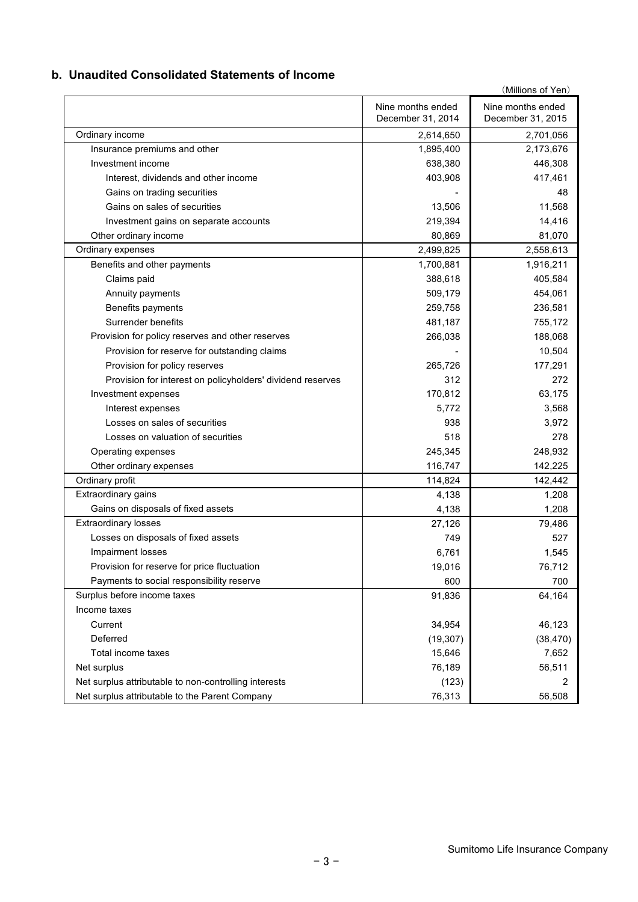### **b. Unaudited Consolidated Statements of Income**

|                                                            |                                        | (Millions of Yen)                      |
|------------------------------------------------------------|----------------------------------------|----------------------------------------|
|                                                            | Nine months ended<br>December 31, 2014 | Nine months ended<br>December 31, 2015 |
| Ordinary income                                            | 2,614,650                              | 2,701,056                              |
| Insurance premiums and other                               | 1,895,400                              | 2,173,676                              |
| Investment income                                          | 638,380                                | 446,308                                |
| Interest, dividends and other income                       | 403,908                                | 417,461                                |
| Gains on trading securities                                |                                        | 48                                     |
| Gains on sales of securities                               | 13,506                                 | 11,568                                 |
| Investment gains on separate accounts                      | 219,394                                | 14,416                                 |
| Other ordinary income                                      | 80,869                                 | 81,070                                 |
| Ordinary expenses                                          | 2,499,825                              | 2,558,613                              |
| Benefits and other payments                                | 1,700,881                              | 1,916,211                              |
| Claims paid                                                | 388,618                                | 405,584                                |
| Annuity payments                                           | 509,179                                | 454,061                                |
| Benefits payments                                          | 259,758                                | 236,581                                |
| Surrender benefits                                         | 481,187                                | 755,172                                |
| Provision for policy reserves and other reserves           | 266,038                                | 188,068                                |
| Provision for reserve for outstanding claims               |                                        | 10,504                                 |
| Provision for policy reserves                              | 265,726                                | 177,291                                |
| Provision for interest on policyholders' dividend reserves | 312                                    | 272                                    |
| Investment expenses                                        | 170,812                                | 63,175                                 |
| Interest expenses                                          | 5,772                                  | 3,568                                  |
| Losses on sales of securities                              | 938                                    | 3,972                                  |
| Losses on valuation of securities                          | 518                                    | 278                                    |
| Operating expenses                                         | 245,345                                | 248,932                                |
| Other ordinary expenses                                    | 116,747                                | 142,225                                |
| Ordinary profit                                            | 114,824                                | 142,442                                |
| Extraordinary gains                                        | 4,138                                  | 1,208                                  |
| Gains on disposals of fixed assets                         | 4,138                                  | 1,208                                  |
| <b>Extraordinary losses</b>                                | 27,126                                 | 79,486                                 |
| Losses on disposals of fixed assets                        | 749                                    | 527                                    |
| Impairment losses                                          | 6,761                                  | 1,545                                  |
| Provision for reserve for price fluctuation                | 19,016                                 | 76,712                                 |
| Payments to social responsibility reserve                  | 600                                    | 700                                    |
| Surplus before income taxes                                | 91,836                                 | 64,164                                 |
| Income taxes                                               |                                        |                                        |
| Current                                                    | 34,954                                 | 46,123                                 |
| Deferred                                                   | (19, 307)                              | (38, 470)                              |
| Total income taxes                                         | 15,646                                 | 7,652                                  |
| Net surplus                                                | 76,189                                 | 56,511                                 |
| Net surplus attributable to non-controlling interests      | (123)                                  | 2                                      |
| Net surplus attributable to the Parent Company             | 76,313                                 | 56,508                                 |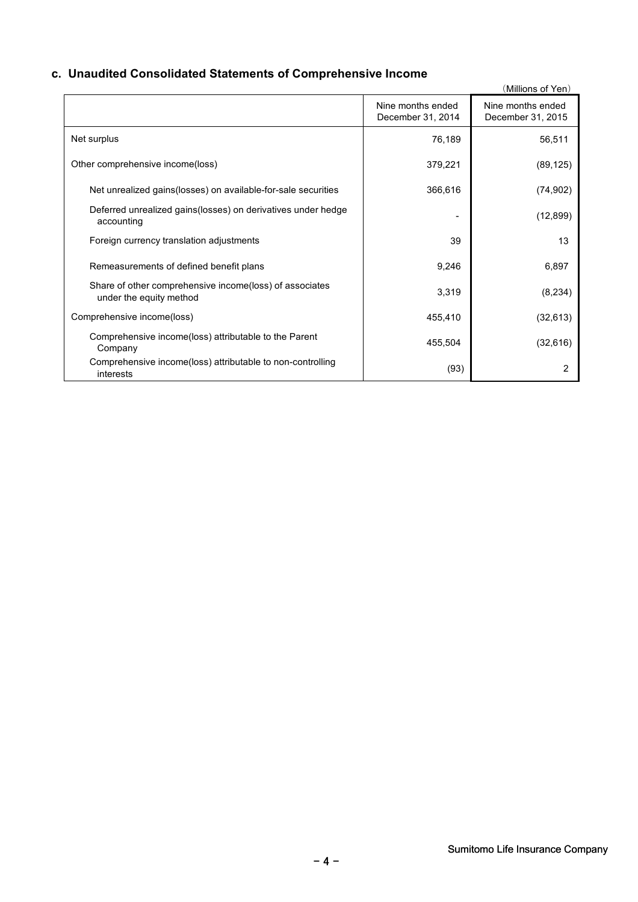### **c. Unaudited Consolidated Statements of Comprehensive Income**

|                                                                                    |                                        | (Millions of Yen)                      |
|------------------------------------------------------------------------------------|----------------------------------------|----------------------------------------|
|                                                                                    | Nine months ended<br>December 31, 2014 | Nine months ended<br>December 31, 2015 |
| Net surplus                                                                        | 76,189                                 | 56,511                                 |
| Other comprehensive income(loss)                                                   | 379,221                                | (89, 125)                              |
| Net unrealized gains (losses) on available-for-sale securities                     | 366,616                                | (74, 902)                              |
| Deferred unrealized gains (losses) on derivatives under hedge<br>accounting        |                                        | (12, 899)                              |
| Foreign currency translation adjustments                                           | 39                                     | 13                                     |
| Remeasurements of defined benefit plans                                            | 9,246                                  | 6,897                                  |
| Share of other comprehensive income(loss) of associates<br>under the equity method | 3,319                                  | (8, 234)                               |
| Comprehensive income(loss)                                                         | 455,410                                | (32, 613)                              |
| Comprehensive income(loss) attributable to the Parent<br>Company                   | 455,504                                | (32, 616)                              |
| Comprehensive income(loss) attributable to non-controlling<br>interests            | (93)                                   | 2                                      |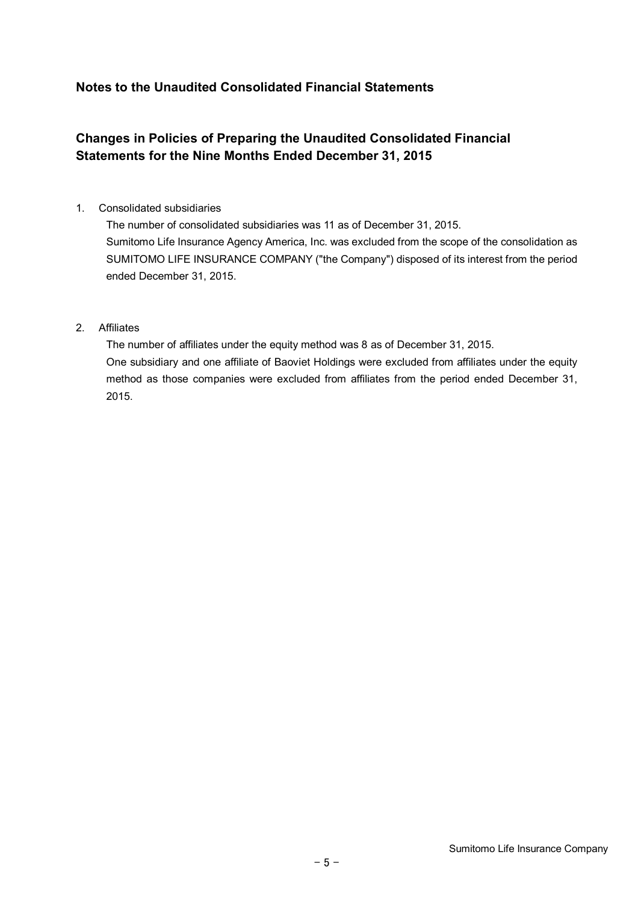### **Notes to the Unaudited Consolidated Financial Statements**

## **Changes in Policies of Preparing the Unaudited Consolidated Financial Statements for the Nine Months Ended December 31, 2015**

#### 1. Consolidated subsidiaries

The number of consolidated subsidiaries was 11 as of December 31, 2015. Sumitomo Life Insurance Agency America, Inc. was excluded from the scope of the consolidation as SUMITOMO LIFE INSURANCE COMPANY ("the Company") disposed of its interest from the period ended December 31, 2015.

#### 2. Affiliates

The number of affiliates under the equity method was 8 as of December 31, 2015. One subsidiary and one affiliate of Baoviet Holdings were excluded from affiliates under the equity method as those companies were excluded from affiliates from the period ended December 31, 2015.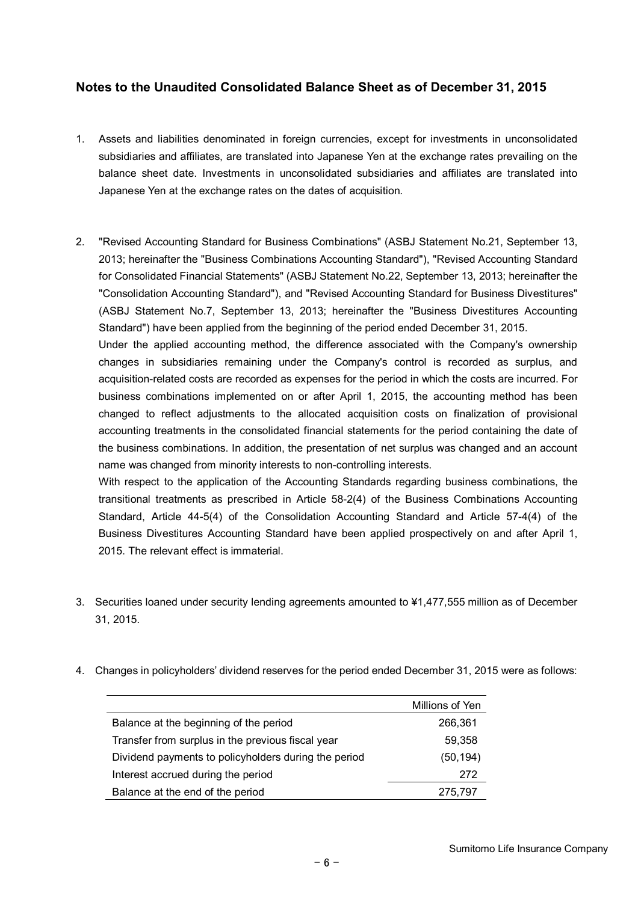### **Notes to the Unaudited Consolidated Balance Sheet as of December 31, 2015**

- 1. Assets and liabilities denominated in foreign currencies, except for investments in unconsolidated subsidiaries and affiliates, are translated into Japanese Yen at the exchange rates prevailing on the balance sheet date. Investments in unconsolidated subsidiaries and affiliates are translated into Japanese Yen at the exchange rates on the dates of acquisition.
- 2. "Revised Accounting Standard for Business Combinations" (ASBJ Statement No.21, September 13, 2013; hereinafter the "Business Combinations Accounting Standard"), "Revised Accounting Standard for Consolidated Financial Statements" (ASBJ Statement No.22, September 13, 2013; hereinafter the "Consolidation Accounting Standard"), and "Revised Accounting Standard for Business Divestitures" (ASBJ Statement No.7, September 13, 2013; hereinafter the "Business Divestitures Accounting Standard") have been applied from the beginning of the period ended December 31, 2015.

Under the applied accounting method, the difference associated with the Company's ownership changes in subsidiaries remaining under the Company's control is recorded as surplus, and acquisition-related costs are recorded as expenses for the period in which the costs are incurred. For business combinations implemented on or after April 1, 2015, the accounting method has been changed to reflect adjustments to the allocated acquisition costs on finalization of provisional accounting treatments in the consolidated financial statements for the period containing the date of the business combinations. In addition, the presentation of net surplus was changed and an account name was changed from minority interests to non-controlling interests.

With respect to the application of the Accounting Standards regarding business combinations, the transitional treatments as prescribed in Article 58-2(4) of the Business Combinations Accounting Standard, Article 44-5(4) of the Consolidation Accounting Standard and Article 57-4(4) of the Business Divestitures Accounting Standard have been applied prospectively on and after April 1, 2015. The relevant effect is immaterial.

- 3. Securities loaned under security lending agreements amounted to ¥1,477,555 million as of December 31, 2015.
- 4. Changes in policyholders' dividend reserves for the period ended December 31, 2015 were as follows:

|                                                      | Millions of Yen |
|------------------------------------------------------|-----------------|
| Balance at the beginning of the period               | 266,361         |
| Transfer from surplus in the previous fiscal year    | 59,358          |
| Dividend payments to policyholders during the period | (50,194)        |
| Interest accrued during the period                   | 272             |
| Balance at the end of the period                     | 275,797         |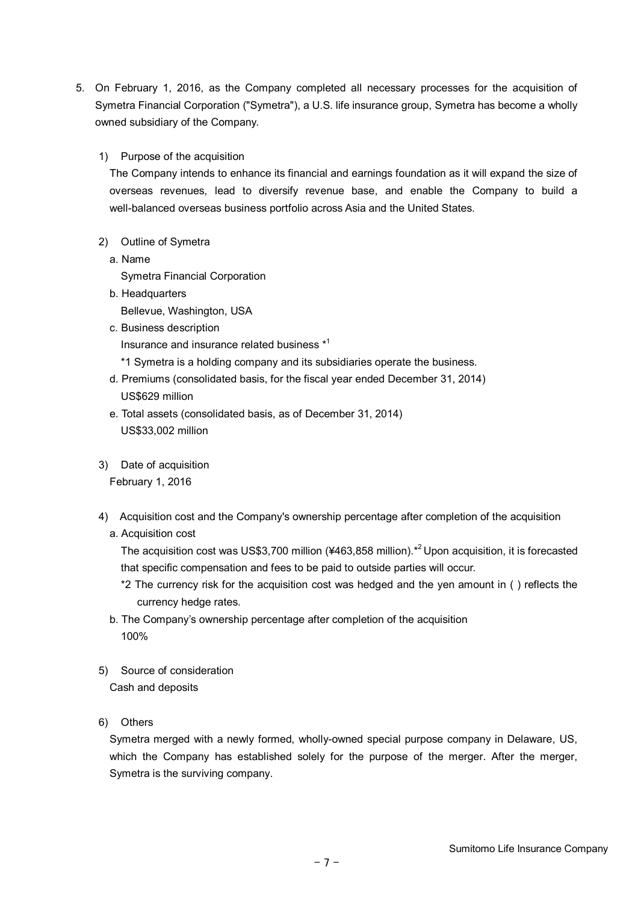5. On February 1, 2016, as the Company completed all necessary processes for the acquisition of Symetra Financial Corporation ("Symetra"), a U.S. life insurance group, Symetra has become a wholly owned subsidiary of the Company.

#### 1) Purpose of the acquisition

The Company intends to enhance its financial and earnings foundation as it will expand the size of overseas revenues, lead to diversify revenue base, and enable the Company to build a well-balanced overseas business portfolio across Asia and the United States.

- 2) Outline of Symetra
- a. Name

Symetra Financial Corporation

b. Headquarters Bellevue, Washington, USA c. Business description

Insurance and insurance related business \* 1

\*1 Symetra is a holding company and its subsidiaries operate the business.

- d. Premiums (consolidated basis, for the fiscal year ended December 31, 2014) US\$629 million
- e. Total assets (consolidated basis, as of December 31, 2014) US\$33,002 million
- 3) Date of acquisition

February 1, 2016

- 4) Acquisition cost and the Company's ownership percentage after completion of the acquisition
	- a. Acquisition cost

The acquisition cost was US\$3,700 million (¥463,858 million).<sup>\*2</sup> Upon acquisition, it is forecasted that specific compensation and fees to be paid to outside parties will occur.

- \*2 The currency risk for the acquisition cost was hedged and the yen amount in ( ) reflects the currency hedge rates.
- b. The Company's ownership percentage after completion of the acquisition 100%
- 5) Source of consideration

Cash and deposits

6) Others

Symetra merged with a newly formed, wholly-owned special purpose company in Delaware, US, which the Company has established solely for the purpose of the merger. After the merger, Symetra is the surviving company.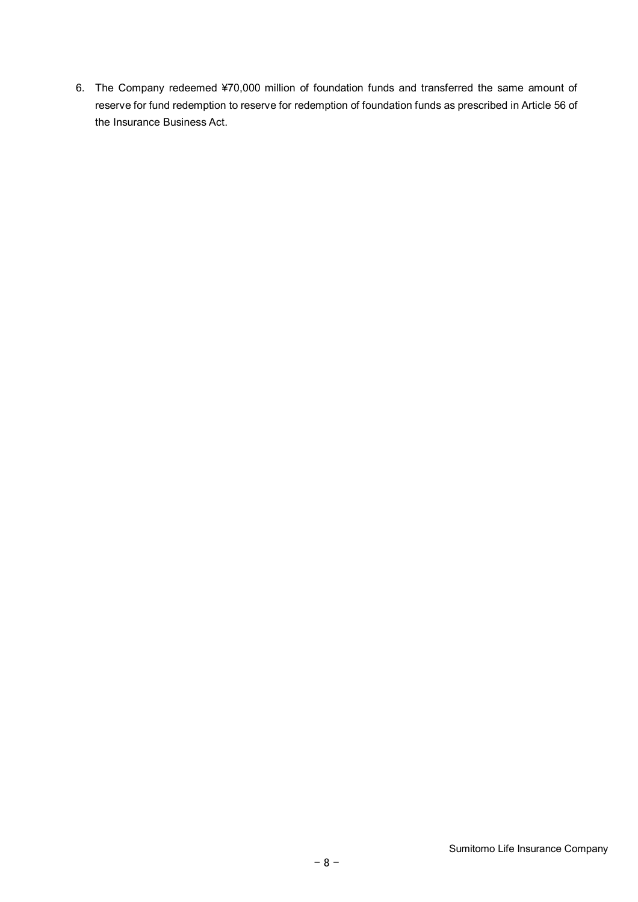6. The Company redeemed ¥70,000 million of foundation funds and transferred the same amount of reserve for fund redemption to reserve for redemption of foundation funds as prescribed in Article 56 of the Insurance Business Act.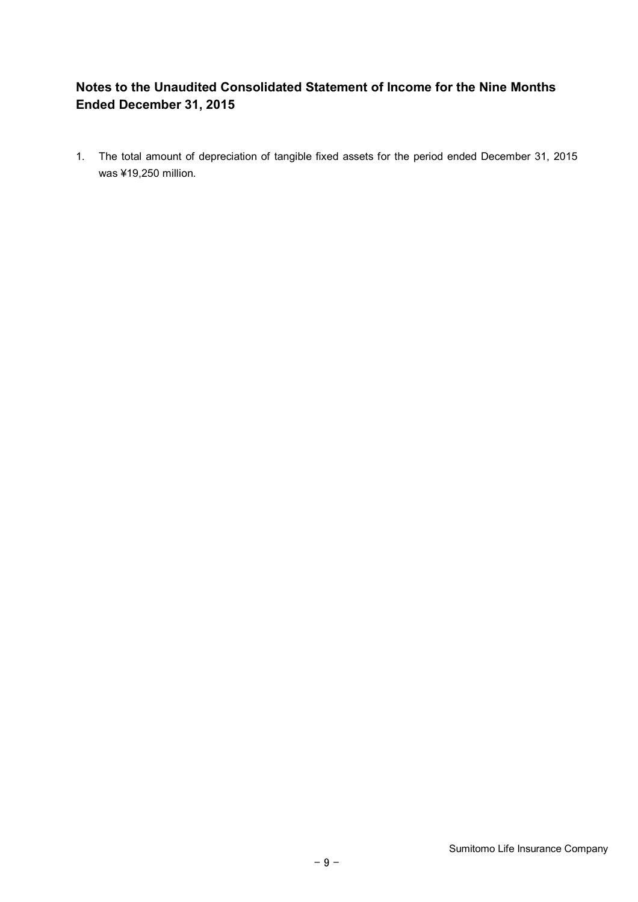## **Notes to the Unaudited Consolidated Statement of Income for the Nine Months Ended December 31, 2015**

1. The total amount of depreciation of tangible fixed assets for the period ended December 31, 2015 was ¥19,250 million.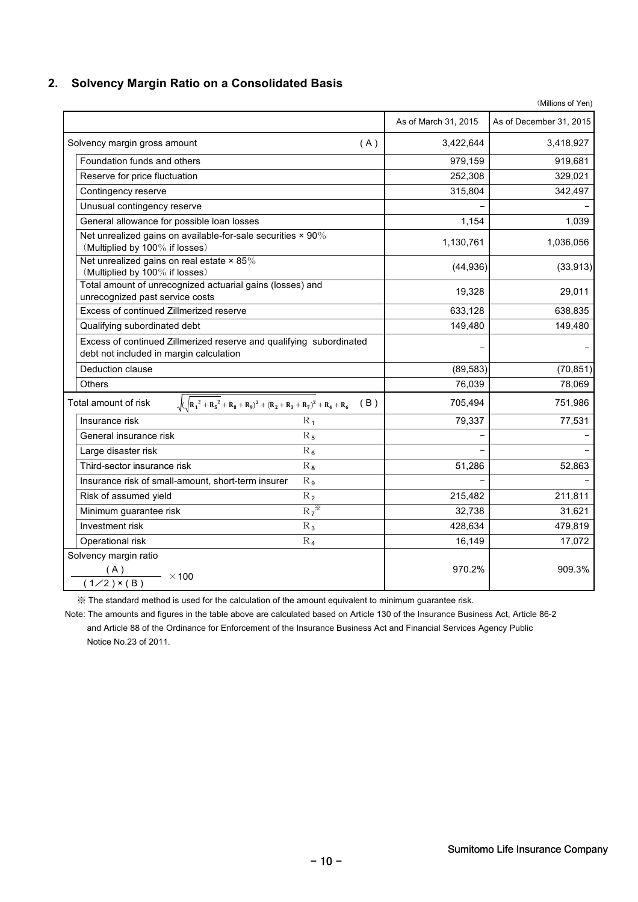### **2. Solvency Margin Ratio on a Consolidated Basis**

|                                                                                                                |                      | (Millions of Yen)       |
|----------------------------------------------------------------------------------------------------------------|----------------------|-------------------------|
|                                                                                                                | As of March 31, 2015 | As of December 31, 2015 |
| Solvency margin gross amount<br>(A)                                                                            | 3,422,644            | 3,418,927               |
| Foundation funds and others                                                                                    | 979,159              | 919,681                 |
| Reserve for price fluctuation                                                                                  | 252,308              | 329,021                 |
| Contingency reserve                                                                                            | 315,804              | 342,497                 |
| Unusual contingency reserve                                                                                    |                      |                         |
| General allowance for possible loan losses                                                                     | 1,154                | 1,039                   |
| Net unrealized gains on available-for-sale securities $\times$ 90%<br>(Multiplied by 100% if losses)           | 1,130,761            | 1,036,056               |
| Net unrealized gains on real estate $\times$ 85%<br>(Multiplied by 100% if losses)                             | (44, 936)            | (33, 913)               |
| Total amount of unrecognized actuarial gains (losses) and<br>unrecognized past service costs                   | 19,328               | 29,011                  |
| Excess of continued Zillmerized reserve                                                                        | 633,128              | 638,835                 |
| Qualifying subordinated debt                                                                                   | 149,480              | 149,480                 |
| Excess of continued Zillmerized reserve and qualifying subordinated<br>debt not included in margin calculation |                      |                         |
| Deduction clause                                                                                               | (89, 583)            | (70, 851)               |
| <b>Others</b>                                                                                                  | 76,039               | 78,069                  |
| $\sqrt{(\sqrt{R_1^2 + R_5^2} + R_8 + R_9)^2 + (R_2 + R_3 + R_7)^2 + R_4 + R_6}$ (B)<br>Total amount of risk    | 705,494              | 751,986                 |
| Insurance risk<br>$R_1$                                                                                        | 79,337               | 77,531                  |
| $R_5$<br>General insurance risk                                                                                |                      |                         |
| Large disaster risk<br>$R_6$                                                                                   |                      |                         |
| $R_8$<br>Third-sector insurance risk                                                                           | 51,286               | 52,863                  |
| Insurance risk of small-amount, short-term insurer<br>$R_{9}$                                                  |                      |                         |
| $R_2$<br>Risk of assumed yield                                                                                 | 215,482              | 211,811                 |
| $R_7^*$<br>Minimum guarantee risk                                                                              | 32,738               | 31,621                  |
| Investment risk<br>$R_3$                                                                                       | 428,634              | 479,819                 |
| Operational risk<br>$R_4$                                                                                      | 16,149               | 17,072                  |
| Solvency margin ratio<br>(A)<br>$\frac{(A)}{(1/2) \times (B)}$ × 100                                           | 970.2%               | 909.3%                  |

※ The standard method is used for the calculation of the amount equivalent to minimum guarantee risk.

Note: The amounts and figures in the table above are calculated based on Article 130 of the Insurance Business Act, Article 86-2 and Article 88 of the Ordinance for Enforcement of the Insurance Business Act and Financial Services Agency Public Notice No.23 of 2011.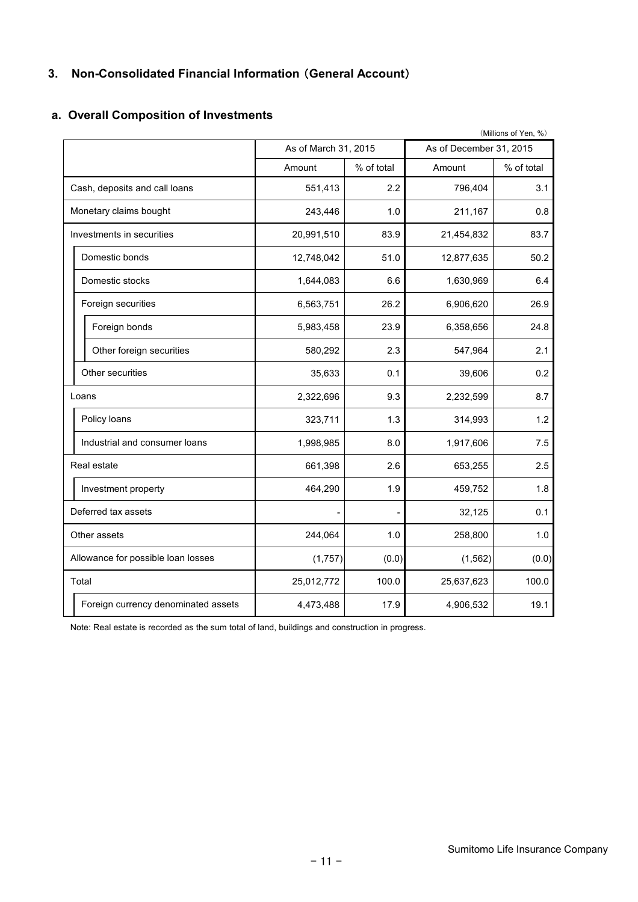### **3. Non-Consolidated Financial Information** (**General Account**)

|                                     |                      |            |                         | (Millions of Yen, %) |
|-------------------------------------|----------------------|------------|-------------------------|----------------------|
|                                     | As of March 31, 2015 |            | As of December 31, 2015 |                      |
|                                     | Amount               | % of total | Amount                  | % of total           |
| Cash, deposits and call loans       | 551,413              | 2.2        | 796,404                 | 3.1                  |
| Monetary claims bought              | 243,446              | 1.0        | 211,167                 | 0.8                  |
| Investments in securities           | 20,991,510           | 83.9       | 21,454,832              | 83.7                 |
| Domestic bonds                      | 12,748,042           | 51.0       | 12,877,635              | 50.2                 |
| Domestic stocks                     | 1,644,083            | 6.6        | 1,630,969               | 6.4                  |
| Foreign securities                  | 6,563,751            | 26.2       | 6,906,620               | 26.9                 |
| Foreign bonds                       | 5,983,458            | 23.9       | 6,358,656               | 24.8                 |
| Other foreign securities            | 580,292              | 2.3        | 547,964                 | 2.1                  |
| Other securities                    | 35,633               | 0.1        | 39,606                  | 0.2                  |
| Loans                               | 2,322,696            | 9.3        | 2,232,599               | 8.7                  |
| Policy loans                        | 323,711              | 1.3        | 314,993                 | 1.2                  |
| Industrial and consumer loans       | 1,998,985            | 8.0        | 1,917,606               | 7.5                  |
| Real estate                         | 661,398              | 2.6        | 653,255                 | 2.5                  |
| Investment property                 | 464,290              | 1.9        | 459,752                 | 1.8                  |
| Deferred tax assets                 |                      |            | 32,125                  | 0.1                  |
| Other assets                        | 244,064              | 1.0        | 258,800                 | 1.0                  |
| Allowance for possible loan losses  | (1,757)              | (0.0)      | (1, 562)                | (0.0)                |
| Total                               | 25,012,772           | 100.0      | 25,637,623              | 100.0                |
| Foreign currency denominated assets | 4,473,488            | 17.9       | 4,906,532               | 19.1                 |

### **a. Overall Composition of Investments**

Note: Real estate is recorded as the sum total of land, buildings and construction in progress.